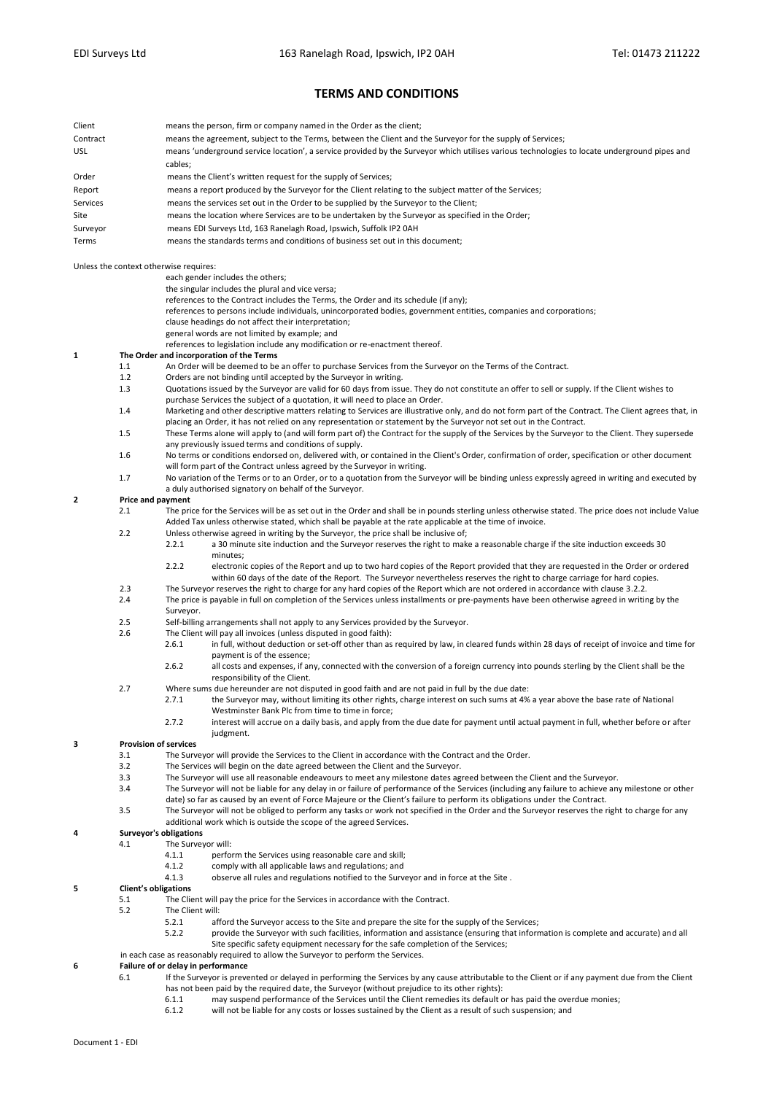## **TERMS AND CONDITIONS**

| Client   | means the person, firm or company named in the Order as the client;                                                                          |
|----------|----------------------------------------------------------------------------------------------------------------------------------------------|
| Contract | means the agreement, subject to the Terms, between the Client and the Surveyor for the supply of Services;                                   |
| USL      | means 'underground service location', a service provided by the Surveyor which utilises various technologies to locate underground pipes and |
|          | cables;                                                                                                                                      |
| Order    | means the Client's written request for the supply of Services;                                                                               |
| Report   | means a report produced by the Surveyor for the Client relating to the subject matter of the Services;                                       |
| Services | means the services set out in the Order to be supplied by the Surveyor to the Client;                                                        |
| Site     | means the location where Services are to be undertaken by the Surveyor as specified in the Order;                                            |
| Surveyor | means EDI Surveys Ltd, 163 Ranelagh Road, Ipswich, Suffolk IP2 0AH                                                                           |
| Terms    | means the standards terms and conditions of business set out in this document;                                                               |

Unless the context otherwise requires:

- each gender includes the others;
- the singular includes the plural and vice versa;
- references to the Contract includes the Terms, the Order and its schedule (if any);
- references to persons include individuals, unincorporated bodies, government entities, companies and corporations;
- clause headings do not affect their interpretation;
- general words are not limited by example; and
- references to legislation include any modification or re-enactment thereof.
- **1 The Order and incorporation of the Terms**
	- 1.1 An Order will be deemed to be an offer to purchase Services from the Surveyor on the Terms of the Contract.
		- 1.2 Orders are not binding until accepted by the Surveyor in writing.<br>1.3 Ountations issued by the Surveyor are valid for 60 days from issue.
	- 1.3 Quotations issued by the Surveyor are valid for 60 days from issue. They do not constitute an offer to sell or supply. If the Client wishes to purchase Services the subject of a quotation, it will need to place an Order.
	- 1.4 Marketing and other descriptive matters relating to Services are illustrative only, and do not form part of the Contract. The Client agrees that, in placing an Order, it has not relied on any representation or statement by the Surveyor not set out in the Contract.
	- 1.5 These Terms alone will apply to (and will form part of) the Contract for the supply of the Services by the Surveyor to the Client. They supersede any previously issued terms and conditions of supply.
	- 1.6 No terms or conditions endorsed on, delivered with, or contained in the Client's Order, confirmation of order, specification or other document will form part of the Contract unless agreed by the Surveyor in writing.
	- 1.7 No variation of the Terms or to an Order, or to a quotation from the Surveyor will be binding unless expressly agreed in writing and executed by a duly authorised signatory on behalf of the Surveyor.

### **2 Price and payment**

- 2.1 The price for the Services will be as set out in the Order and shall be in pounds sterling unless otherwise stated. The price does not include Value Added Tax unless otherwise stated, which shall be payable at the rate applicable at the time of invoice.
- 2.2 Unless otherwise agreed in writing by the Surveyor, the price shall be inclusive of;
	- 2.2.1 a 30 minute site induction and the Surveyor reserves the right to make a reasonable charge if the site induction exceeds 30 minutes;
- 2.2.2 electronic copies of the Report and up to two hard copies of the Report provided that they are requested in the Order or ordered within 60 days of the date of the Report. The Surveyor nevertheless reserves the right to charge carriage for hard copies. 2.3 The Surveyor reserves the right to charge for any hard copies of the Report which are not ordered in accordance with clause 3.2.2.
- 2.4 The price is payable in full on completion of the Services unless installments or pre-payments have been otherwise agreed in writing by the Surveyor.
- 2.5 Self-billing arrangements shall not apply to any Services provided by the Surveyor.
- 2.6 The Client will pay all invoices (unless disputed in good faith):<br>2.6.1 in full without deduction or set-off other than as
	- 2.6.1 in full, without deduction or set-off other than as required by law, in cleared funds within 28 days of receipt of invoice and time for payment is of the essence;
	- 2.6.2 all costs and expenses, if any, connected with the conversion of a foreign currency into pounds sterling by the Client shall be the responsibility of the Client.
- 2.7 Where sums due hereunder are not disputed in good faith and are not paid in full by the due date:
	- 2.7.1 the Surveyor may, without limiting its other rights, charge interest on such sums at 4% a year above the base rate of National Westminster Bank Plc from time to time in force;
		- 2.7.2 interest will accrue on a daily basis, and apply from the due date for payment until actual payment in full, whether before or after judgment.

# **3 Provision of services**

- 3.1 The Surveyor will provide the Services to the Client in accordance with the Contract and the Order.<br>3.2 The Services will begin on the date agreed between the Client and the Surveyor.
- 3.2 The Services will begin on the date agreed between the Client and the Surveyor.<br>3.3 The Surveyor will use all reasonable endeavours to meet any milestone dates ag
- 3.3 The Surveyor will use all reasonable endeavours to meet any milestone dates agreed between the Client and the Surveyor.
- 
- 3.4 The Surveyor will not be liable for any delay in or failure of performance of the Services (including any failure to achieve any milestone or other date) so far as caused by an event of Force Majeure or the Client's failure to perform its obligations under the Contract.
- 3.5 The Surveyor will not be obliged to perform any tasks or work not specified in the Order and the Surveyor reserves the right to charge for any additional work which is outside the scope of the agreed Services.

#### **4 Surveyor's obligations**

- 4.1 The Surveyor will:
	- 4.1.1 perform the Services using reasonable care and skill;
	- 4.1.2 comply with all applicable laws and regulations; and
		- 4.1.3 observe all rules and regulations notified to the Surveyor and in force at the Site .
		-
- **5 Client's obligations**
	- 5.1 The Client will pay the price for the Services in accordance with the Contract.
	- 5.2 The Client will:<br>5.2 5.2 1 5.7 1
		- 5.2.1 afford the Surveyor access to the Site and prepare the site for the supply of the Services;<br>5.2.2 provide the Surveyor with such facilities, information and assistance (ensuring that inform
			- provide the Surveyor with such facilities, information and assistance (ensuring that information is complete and accurate) and all Site specific safety equipment necessary for the safe completion of the Services;
	- in each case as reasonably required to allow the Surveyor to perform the Services.

## **Failure of or delay in performance**<br>**6.1 If the Surveyor is preve**

- 6.1 If the Surveyor is prevented or delayed in performing the Services by any cause attributable to the Client or if any payment due from the Client has not been paid by the required date, the Surveyor (without prejudice to its other rights):<br>6.1.1 may suspend performance of the Services until the Client remedies its default of
	- may suspend performance of the Services until the Client remedies its default or has paid the overdue monies;
	- 6.1.2 will not be liable for any costs or losses sustained by the Client as a result of such suspension; and